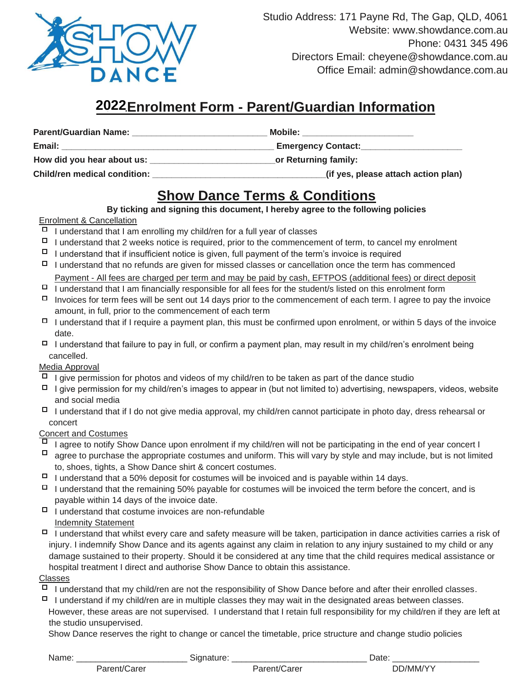

Studio Address: 171 Payne Rd, The Gap, QLD, 4061 Website: www.showdance.com.au Phone: 0431 345 496 Directors Email: cheyene@showdance.com.au Office Email: admin@showdance.com.au

# **2021Enrolment Form - Parent/Guardian Information 2022**

| <b>Parent/Guardian Name:</b>        | Mobile:                             |
|-------------------------------------|-------------------------------------|
| Email:                              | <b>Emergency Contact:</b>           |
| How did you hear about us:          | or Returning family:                |
| <b>Child/ren medical condition:</b> | (if yes, please attach action plan) |

# **Show Dance Terms & Conditions**

**By ticking and signing this document, I hereby agree to the following policies**

### Enrolment & Cancellation

- $\Box$  I understand that I am enrolling my child/ren for a full year of classes
- $\Box$  I understand that 2 weeks notice is required, prior to the commencement of term, to cancel my enrolment
- $\Box$  I understand that if insufficient notice is given, full payment of the term's invoice is required
- $\Box$  I understand that no refunds are given for missed classes or cancellation once the term has commenced Payment - All fees are charged per term and may be paid by cash, EFTPOS (additional fees) or direct deposit
- $\Box$  I understand that I am financially responsible for all fees for the student/s listed on this enrolment form
- Invoices for term fees will be sent out 14 days prior to the commencement of each term. I agree to pay the invoice amount, in full, prior to the commencement of each term
- $\Box$  I understand that if I require a payment plan, this must be confirmed upon enrolment, or within 5 days of the invoice date.
- $\Box$  I understand that failure to pay in full, or confirm a payment plan, may result in my child/ren's enrolment being cancelled.

### Media Approval

- $\Box$  I give permission for photos and videos of my child/ren to be taken as part of the dance studio
- $\Box$  I give permission for my child/ren's images to appear in (but not limited to) advertising, newspapers, videos, website and social media
- $\Box$  I understand that if I do not give media approval, my child/ren cannot participate in photo day, dress rehearsal or concert

### Concert and Costumes

- I agree to notify Show Dance upon enrolment if my child/ren will not be participating in the end of year concert I
- $\Box$  agree to purchase the appropriate costumes and uniform. This will vary by style and may include, but is not limited to, shoes, tights, a Show Dance shirt & concert costumes.
- $\Box$  I understand that a 50% deposit for costumes will be invoiced and is payable within 14 days.
- $\Box$  I understand that the remaining 50% payable for costumes will be invoiced the term before the concert, and is payable within 14 days of the invoice date.
- $\Box$  I understand that costume invoices are non-refundable Indemnity Statement
- $\Box$  I understand that whilst every care and safety measure will be taken, participation in dance activities carries a risk of injury. I indemnify Show Dance and its agents against any claim in relation to any injury sustained to my child or any damage sustained to their property. Should it be considered at any time that the child requires medical assistance or hospital treatment I direct and authorise Show Dance to obtain this assistance.

#### Classes

- $\Box$  I understand that my child/ren are not the responsibility of Show Dance before and after their enrolled classes.
- $\Box$  I understand if my child/ren are in multiple classes they may wait in the designated areas between classes. However, these areas are not supervised. I understand that I retain full responsibility for my child/ren if they are left at the studio unsupervised.

Show Dance reserves the right to change or cancel the timetable, price structure and change studio policies

Name: \_\_\_\_\_\_\_\_\_\_\_\_\_\_\_\_\_\_\_\_\_\_\_\_\_\_\_\_Signature: \_\_\_\_\_\_\_\_\_\_\_\_\_\_\_\_\_\_\_\_\_\_\_\_\_\_\_\_\_\_\_\_\_\_\_Date: \_\_\_\_\_\_\_\_\_\_\_\_\_\_\_\_\_\_\_\_\_\_\_\_

Parent/Carer **Parent/Carer Parent/Carer** DD/MM/YY